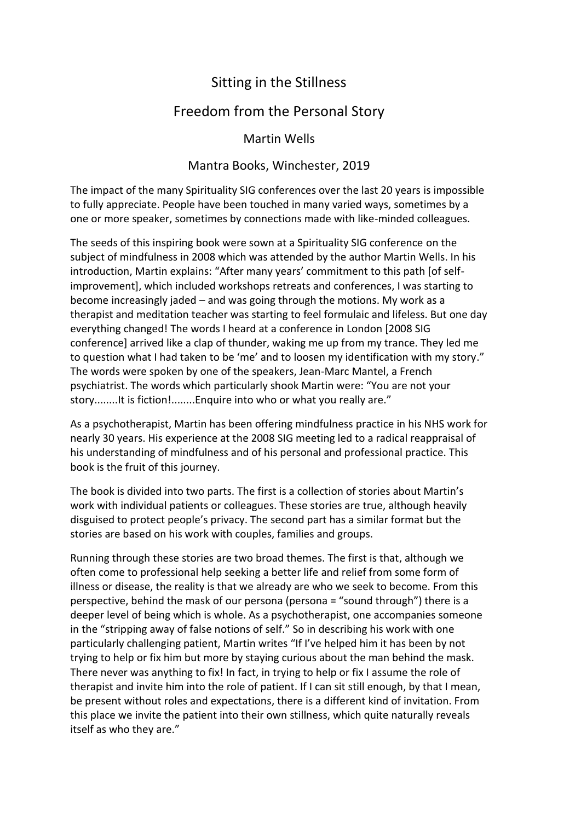## Sitting in the Stillness

## Freedom from the Personal Story

Martin Wells

## Mantra Books, Winchester, 2019

The impact of the many Spirituality SIG conferences over the last 20 years is impossible to fully appreciate. People have been touched in many varied ways, sometimes by a one or more speaker, sometimes by connections made with like-minded colleagues.

The seeds of this inspiring book were sown at a Spirituality SIG conference on the subject of mindfulness in 2008 which was attended by the author Martin Wells. In his introduction, Martin explains: "After many years' commitment to this path [of selfimprovement], which included workshops retreats and conferences, I was starting to become increasingly jaded – and was going through the motions. My work as a therapist and meditation teacher was starting to feel formulaic and lifeless. But one day everything changed! The words I heard at a conference in London [2008 SIG conference] arrived like a clap of thunder, waking me up from my trance. They led me to question what I had taken to be 'me' and to loosen my identification with my story." The words were spoken by one of the speakers, Jean-Marc Mantel, a French psychiatrist. The words which particularly shook Martin were: "You are not your story........It is fiction!........Enquire into who or what you really are."

As a psychotherapist, Martin has been offering mindfulness practice in his NHS work for nearly 30 years. His experience at the 2008 SIG meeting led to a radical reappraisal of his understanding of mindfulness and of his personal and professional practice. This book is the fruit of this journey.

The book is divided into two parts. The first is a collection of stories about Martin's work with individual patients or colleagues. These stories are true, although heavily disguised to protect people's privacy. The second part has a similar format but the stories are based on his work with couples, families and groups.

Running through these stories are two broad themes. The first is that, although we often come to professional help seeking a better life and relief from some form of illness or disease, the reality is that we already are who we seek to become. From this perspective, behind the mask of our persona (persona = "sound through") there is a deeper level of being which is whole. As a psychotherapist, one accompanies someone in the "stripping away of false notions of self." So in describing his work with one particularly challenging patient, Martin writes "If I've helped him it has been by not trying to help or fix him but more by staying curious about the man behind the mask. There never was anything to fix! In fact, in trying to help or fix I assume the role of therapist and invite him into the role of patient. If I can sit still enough, by that I mean, be present without roles and expectations, there is a different kind of invitation. From this place we invite the patient into their own stillness, which quite naturally reveals itself as who they are."